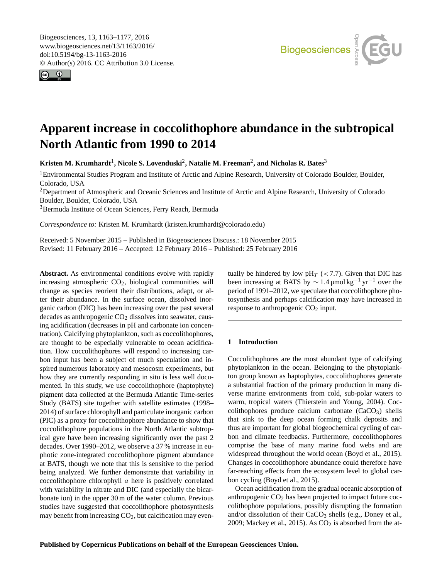Biogeosciences, 13, 1163–1177, 2016 www.biogeosciences.net/13/1163/2016/ doi:10.5194/bg-13-1163-2016 © Author(s) 2016. CC Attribution 3.0 License.



# **Apparent increase in coccolithophore abundance in the subtropical North Atlantic from 1990 to 2014**

 $\boldsymbol{\mathrm{K}}$ risten M. Krumhardt<sup>1</sup>, Nicole S. Lovenduski<sup>2</sup>, Natalie M. Freeman<sup>2</sup>, and Nicholas R. Bates<sup>3</sup>

<sup>1</sup>Environmental Studies Program and Institute of Arctic and Alpine Research, University of Colorado Boulder, Boulder, Colorado, USA

<sup>2</sup>Department of Atmospheric and Oceanic Sciences and Institute of Arctic and Alpine Research, University of Colorado Boulder, Boulder, Colorado, USA

<sup>3</sup>Bermuda Institute of Ocean Sciences, Ferry Reach, Bermuda

*Correspondence to:* Kristen M. Krumhardt (kristen.krumhardt@colorado.edu)

Received: 5 November 2015 – Published in Biogeosciences Discuss.: 18 November 2015 Revised: 11 February 2016 – Accepted: 12 February 2016 – Published: 25 February 2016

**Abstract.** As environmental conditions evolve with rapidly increasing atmospheric  $CO<sub>2</sub>$ , biological communities will change as species reorient their distributions, adapt, or alter their abundance. In the surface ocean, dissolved inorganic carbon (DIC) has been increasing over the past several decades as anthropogenic  $CO<sub>2</sub>$  dissolves into seawater, causing acidification (decreases in pH and carbonate ion concentration). Calcifying phytoplankton, such as coccolithophores, are thought to be especially vulnerable to ocean acidification. How coccolithophores will respond to increasing carbon input has been a subject of much speculation and inspired numerous laboratory and mesocosm experiments, but how they are currently responding in situ is less well documented. In this study, we use coccolithophore (haptophyte) pigment data collected at the Bermuda Atlantic Time-series Study (BATS) site together with satellite estimates (1998– 2014) of surface chlorophyll and particulate inorganic carbon (PIC) as a proxy for coccolithophore abundance to show that coccolithophore populations in the North Atlantic subtropical gyre have been increasing significantly over the past 2 decades. Over 1990–2012, we observe a 37 % increase in euphotic zone-integrated coccolithophore pigment abundance at BATS, though we note that this is sensitive to the period being analyzed. We further demonstrate that variability in coccolithophore chlorophyll a here is positively correlated with variability in nitrate and DIC (and especially the bicarbonate ion) in the upper 30 m of the water column. Previous studies have suggested that coccolithophore photosynthesis may benefit from increasing  $CO<sub>2</sub>$ , but calcification may eventually be hindered by low  $pH_T$  (< 7.7). Given that DIC has been increasing at BATS by  $\sim 1.4 \,\mathrm{\mu}$ mol kg<sup>-1</sup> yr<sup>-1</sup> over the period of 1991–2012, we speculate that coccolithophore photosynthesis and perhaps calcification may have increased in response to anthropogenic  $CO<sub>2</sub>$  input.

## **1 Introduction**

Coccolithophores are the most abundant type of calcifying phytoplankton in the ocean. Belonging to the phytoplankton group known as haptophytes, coccolithophores generate a substantial fraction of the primary production in many diverse marine environments from cold, sub-polar waters to warm, tropical waters (Thierstein and Young, 2004). Coccolithophores produce calcium carbonate  $(CaCO<sub>3</sub>)$  shells that sink to the deep ocean forming chalk deposits and thus are important for global biogeochemical cycling of carbon and climate feedbacks. Furthermore, coccolithophores comprise the base of many marine food webs and are widespread throughout the world ocean (Boyd et al., 2015). Changes in coccolithophore abundance could therefore have far-reaching effects from the ecosystem level to global carbon cycling (Boyd et al., 2015).

Ocean acidification from the gradual oceanic absorption of anthropogenic  $CO<sub>2</sub>$  has been projected to impact future coccolithophore populations, possibly disrupting the formation and/or dissolution of their  $CaCO<sub>3</sub>$  shells (e.g., Doney et al., 2009; Mackey et al., 2015). As  $CO<sub>2</sub>$  is absorbed from the at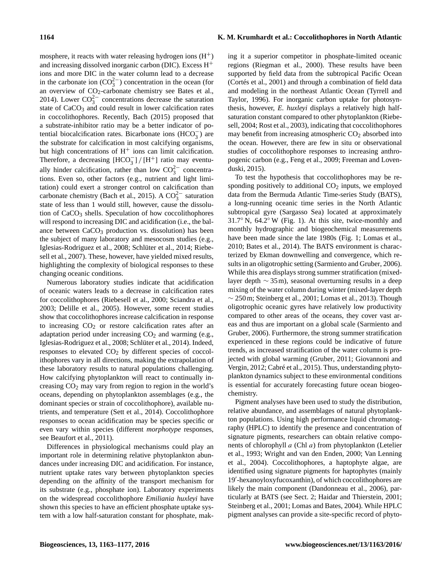mosphere, it reacts with water releasing hydrogen ions  $(H<sup>+</sup>)$ and increasing dissolved inorganic carbon (DIC). Excess  $H^+$ ions and more DIC in the water column lead to a decrease in the carbonate ion  $(CO_3^{2-})$  concentration in the ocean (for an overview of CO2-carbonate chemistry see Bates et al., 2014). Lower  $CO_3^{2-}$  concentrations decrease the saturation state of  $CaCO<sub>3</sub>$  and could result in lower calcification rates in coccolithophores. Recently, Bach (2015) proposed that a substrate-inhibitor ratio may be a better indicator of potential biocalcification rates. Bicarbonate ions  $(HCO_3^-)$  are the substrate for calcification in most calcifying organisms, but high concentrations of  $H^+$  ions can limit calcification. Therefore, a decreasing  $[HCO_3^-]/[H^+]$  ratio may eventually hinder calcification, rather than low  $CO_3^{2-}$  concentrations. Even so, other factors (e.g., nutrient and light limitation) could exert a stronger control on calcification than carbonate chemistry (Bach et al., 2015). A  $CO_3^{2-}$  saturation state of less than 1 would still, however, cause the dissolution of  $CaCO<sub>3</sub>$  shells. Speculation of how coccolithophores will respond to increasing DIC and acidification (i.e., the balance between  $CaCO<sub>3</sub>$  production vs. dissolution) has been the subject of many laboratory and mesocosm studies (e.g., Iglesias-Rodriguez et al., 2008; Schlüter et al., 2014; Riebesell et al., 2007). These, however, have yielded mixed results, highlighting the complexity of biological responses to these changing oceanic conditions.

Numerous laboratory studies indicate that acidification of oceanic waters leads to a decrease in calcification rates for coccolithophores (Riebesell et al., 2000; Sciandra et al., 2003; Delille et al., 2005). However, some recent studies show that coccolithophores increase calcification in response to increasing  $CO<sub>2</sub>$  or restore calcification rates after an adaptation period under increasing  $CO<sub>2</sub>$  and warming (e.g., Iglesias-Rodriguez et al., 2008; Schlüter et al., 2014). Indeed, responses to elevated  $CO<sub>2</sub>$  by different species of coccolithophores vary in all directions, making the extrapolation of these laboratory results to natural populations challenging. How calcifying phytoplankton will react to continually increasing  $CO<sub>2</sub>$  may vary from region to region in the world's oceans, depending on phytoplankton assemblages (e.g., the dominant species or strain of coccolithophore), available nutrients, and temperature (Sett et al., 2014). Coccolithophore responses to ocean acidification may be species specific or even vary within species (different *morphotype* responses, see Beaufort et al., 2011).

Differences in physiological mechanisms could play an important role in determining relative phytoplankton abundances under increasing DIC and acidification. For instance, nutrient uptake rates vary between phytoplankton species depending on the affinity of the transport mechanism for its substrate (e.g., phosphate ion). Laboratory experiments on the widespread coccolithophore *Emiliania huxleyi* have shown this species to have an efficient phosphate uptake system with a low half-saturation constant for phosphate, making it a superior competitor in phosphate-limited oceanic regions (Riegman et al., 2000). These results have been supported by field data from the subtropical Pacific Ocean (Cortés et al., 2001) and through a combination of field data and modeling in the northeast Atlantic Ocean (Tyrrell and Taylor, 1996). For inorganic carbon uptake for photosynthesis, however, *E. huxleyi* displays a relatively high halfsaturation constant compared to other phytoplankton (Riebesell, 2004; Rost et al., 2003), indicating that coccolithophores may benefit from increasing atmospheric  $CO<sub>2</sub>$  absorbed into the ocean. However, there are few in situ or observational studies of coccolithophore responses to increasing anthropogenic carbon (e.g., Feng et al., 2009; Freeman and Lovenduski, 2015).

To test the hypothesis that coccolithophores may be responding positively to additional  $CO<sub>2</sub>$  inputs, we employed data from the Bermuda Atlantic Time-series Study (BATS), a long-running oceanic time series in the North Atlantic subtropical gyre (Sargasso Sea) located at approximately 31.7◦ N, 64.2◦ W (Fig. 1). At this site, twice-monthly and monthly hydrographic and biogeochemical measurements have been made since the late 1980s (Fig. 1; Lomas et al., 2010; Bates et al., 2014). The BATS environment is characterized by Ekman downwelling and convergence, which results in an oligotrophic setting (Sarmiento and Gruber, 2006). While this area displays strong summer stratification (mixedlayer depth ∼ 35 m), seasonal overturning results in a deep mixing of the water column during winter (mixed-layer depth ∼ 250 m; Steinberg et al., 2001; Lomas et al., 2013). Though oligotrophic oceanic gyres have relatively low productivity compared to other areas of the oceans, they cover vast areas and thus are important on a global scale (Sarmiento and Gruber, 2006). Furthermore, the strong summer stratification experienced in these regions could be indicative of future trends, as increased stratification of the water column is projected with global warming (Gruber, 2011; Giovannoni and Vergin, 2012; Cabré et al., 2015). Thus, understanding phytoplankton dynamics subject to these environmental conditions is essential for accurately forecasting future ocean biogeochemistry.

Pigment analyses have been used to study the distribution, relative abundance, and assemblages of natural phytoplankton populations. Using high performance liquid chromatography (HPLC) to identify the presence and concentration of signature pigments, researchers can obtain relative components of chlorophyll a (Chl a) from phytoplankton (Letelier et al., 1993; Wright and van den Enden, 2000; Van Lenning et al., 2004). Coccolithophores, a haptophyte algae, are identified using signature pigments for haptophytes (mainly 19'-hexanoyloxyfucoxanthin), of which coccolithophores are likely the main component (Dandonneau et al., 2006), particularly at BATS (see Sect. 2; Haidar and Thierstein, 2001; Steinberg et al., 2001; Lomas and Bates, 2004). While HPLC pigment analyses can provide a site-specific record of phyto-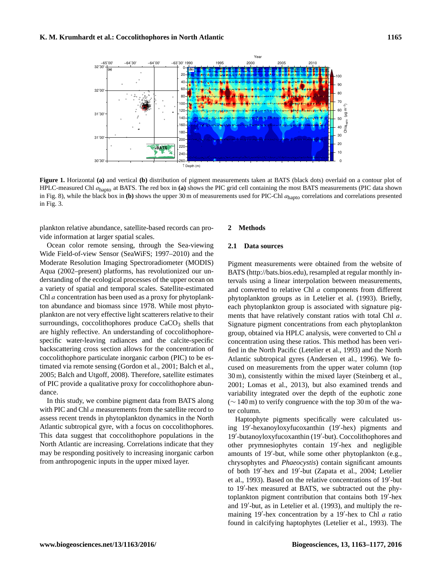

**Figure 1.** Horizontal **(a)** and vertical **(b)** distribution of pigment measurements taken at BATS (black dots) overlaid on a contour plot of HPLC-measured Chl ahapto at BATS. The red box in **(a)** shows the PIC grid cell containing the most BATS measurements (PIC data shown in Fig. 8), while the black box in **(b)** shows the upper 30 m of measurements used for PIC-Chl  $a_{\text{hanto}}$  correlations and correlations presented in Fig. 3.

plankton relative abundance, satellite-based records can provide information at larger spatial scales.

Ocean color remote sensing, through the Sea-viewing Wide Field-of-view Sensor (SeaWiFS; 1997–2010) and the Moderate Resolution Imaging Spectroradiometer (MODIS) Aqua (2002–present) platforms, has revolutionized our understanding of the ecological processes of the upper ocean on a variety of spatial and temporal scales. Satellite-estimated Chl a concentration has been used as a proxy for phytoplankton abundance and biomass since 1978. While most phytoplankton are not very effective light scatterers relative to their surroundings, coccolithophores produce  $CaCO<sub>3</sub>$  shells that are highly reflective. An understanding of coccolithophorespecific water-leaving radiances and the calcite-specific backscattering cross section allows for the concentration of coccolithophore particulate inorganic carbon (PIC) to be estimated via remote sensing (Gordon et al., 2001; Balch et al., 2005; Balch and Utgoff, 2008). Therefore, satellite estimates of PIC provide a qualitative proxy for coccolithophore abundance.

In this study, we combine pigment data from BATS along with PIC and Chl a measurements from the satellite record to assess recent trends in phytoplankton dynamics in the North Atlantic subtropical gyre, with a focus on coccolithophores. This data suggest that coccolithophore populations in the North Atlantic are increasing. Correlations indicate that they may be responding positively to increasing inorganic carbon from anthropogenic inputs in the upper mixed layer.

## **2 Methods**

#### **2.1 Data sources**

Pigment measurements were obtained from the website of BATS [\(http://bats.bios.edu\)](http://bats.bios.edu), resampled at regular monthly intervals using a linear interpolation between measurements, and converted to relative Chl a components from different phytoplankton groups as in Letelier et al. (1993). Briefly, each phytoplankton group is associated with signature pigments that have relatively constant ratios with total Chl a. Signature pigment concentrations from each phytoplankton group, obtained via HPLC analysis, were converted to Chl a concentration using these ratios. This method has been verified in the North Pacific (Letelier et al., 1993) and the North Atlantic subtropical gyres (Andersen et al., 1996). We focused on measurements from the upper water column (top 30 m), consistently within the mixed layer (Steinberg et al., 2001; Lomas et al., 2013), but also examined trends and variability integrated over the depth of the euphotic zone (∼ 140 m) to verify congruence with the top 30 m of the water column.

Haptophyte pigments specifically were calculated using 19'-hexanoyloxyfucoxanthin (19'-hex) pigments and 19'-butanoyloxyfucoxanthin (19'-but). Coccolithophores and other prymnesiophytes contain 19'-hex and negligible amounts of 19'-but, while some other phytoplankton (e.g., chrysophytes and *Phaeocystis*) contain significant amounts of both 19'-hex and 19'-but (Zapata et al., 2004; Letelier et al., 1993). Based on the relative concentrations of 19'-but to 19'-hex measured at BATS, we subtracted out the phytoplankton pigment contribution that contains both 19'-hex and 19'-but, as in Letelier et al. (1993), and multiply the remaining 19'-hex concentration by a 19'-hex to Chl  $a$  ratio found in calcifying haptophytes (Letelier et al., 1993). The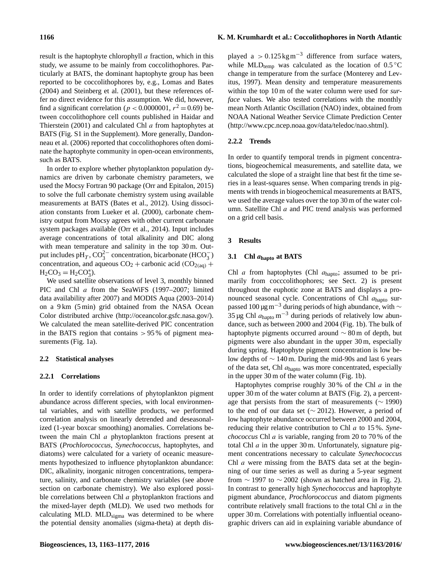result is the haptophyte chlorophyll *a* fraction, which in this study, we assume to be mainly from coccolithophores. Particularly at BATS, the dominant haptophyte group has been reported to be coccolithophores by, e.g., Lomas and Bates (2004) and Steinberg et al. (2001), but these references offer no direct evidence for this assumption. We did, however, find a significant correlation ( $p < 0.0000001$ ,  $r^2 = 0.69$ ) between coccolithophore cell counts published in Haidar and Thierstein (2001) and calculated Chl a from haptophytes at BATS (Fig. S1 in the Supplement). More generally, Dandonneau et al. (2006) reported that coccolithophores often dominate the haptophyte community in open-ocean environments, such as BATS.

In order to explore whether phytoplankton population dynamics are driven by carbonate chemistry parameters, we used the Mocsy Fortran 90 package (Orr and Epitalon, 2015) to solve the full carbonate chemistry system using available measurements at BATS (Bates et al., 2012). Using dissociation constants from Lueker et al. (2000), carbonate chemistry output from Mocsy agrees with other current carbonate system packages available (Orr et al., 2014). Input includes average concentrations of total alkalinity and DIC along with mean temperature and salinity in the top 30 m. Output includes  $pH_T$ ,  $CO_3^{2-}$  concentration, bicarbonate (HCO<sub>3</sub>) concentration, and aqueous  $CO_2$  + carbonic acid ( $CO_{2(aq)}$  +  $H_2CO_3 = H_2CO_3^*$ ).

We used satellite observations of level 3, monthly binned PIC and Chl a from the SeaWiFS (1997–2007; limited data availability after 2007) and MODIS Aqua (2003–2014) on a 9 km (5 min) grid obtained from the NASA Ocean Color distributed archive [\(http://oceancolor.gsfc.nasa.gov/\)](http://oceancolor.gsfc.nasa.gov/). We calculated the mean satellite-derived PIC concentration in the BATS region that contains  $> 95\%$  of pigment measurements (Fig. 1a).

#### **2.2 Statistical analyses**

#### **2.2.1 Correlations**

In order to identify correlations of phytoplankton pigment abundance across different species, with local environmental variables, and with satellite products, we performed correlation analysis on linearly detrended and deseasonalized (1-year boxcar smoothing) anomalies. Correlations between the main Chl a phytoplankton fractions present at BATS (*Prochlorococcus*, *Synechococcus*, haptophytes, and diatoms) were calculated for a variety of oceanic measurements hypothesized to influence phytoplankton abundance: DIC, alkalinity, inorganic nitrogen concentrations, temperature, salinity, and carbonate chemistry variables (see above section on carbonate chemistry). We also explored possible correlations between Chl *a* phytoplankton fractions and the mixed-layer depth (MLD). We used two methods for calculating MLD.  $MLD_{sigma}$  was determined to be where the potential density anomalies (sigma-theta) at depth dis-

played a >  $0.125 \text{ kg m}^{-3}$  difference from surface waters, while MLD<sub>temp</sub> was calculated as the location of  $0.5\,^{\circ}\text{C}$ change in temperature from the surface (Monterey and Levitus, 1997). Mean density and temperature measurements within the top 10 m of the water column were used for *surface* values. We also tested correlations with the monthly mean North Atlantic Oscillation (NAO) index, obtained from NOAA National Weather Service Climate Prediction Center [\(http://www.cpc.ncep.noaa.gov/data/teledoc/nao.shtml\)](http://www.cpc.ncep.noaa.gov/data/teledoc/nao.shtml).

#### **2.2.2 Trends**

In order to quantify temporal trends in pigment concentrations, biogeochemical measurements, and satellite data, we calculated the slope of a straight line that best fit the time series in a least-squares sense. When comparing trends in pigments with trends in biogeochemical measurements at BATS, we used the average values over the top 30 m of the water column. Satellite Chl *a* and PIC trend analysis was performed on a grid cell basis.

#### **3 Results**

#### **3.1 Chl** a**hapto at BATS**

Chl  $a$  from haptophytes (Chl  $a<sub>hapto</sub>$ ; assumed to be primarily from cocccolithophores; see Sect. 2) is present throughout the euphotic zone at BATS and displays a pronounced seasonal cycle. Concentrations of Chl  $a<sub>hanto</sub>$  surpassed 100 μg m<sup>-3</sup> during periods of high abundance, with  $∼$ 35 μg Chl  $a<sub>hapto</sub>$  m<sup>-3</sup> during periods of relatively low abundance, such as between 2000 and 2004 (Fig. 1b). The bulk of haptophyte pigments occurred around  $\sim 80 \,\mathrm{m}$  of depth, but pigments were also abundant in the upper 30 m, especially during spring. Haptophyte pigment concentration is low below depths of ∼ 140 m. During the mid-90s and last 6 years of the data set, Chl  $a<sub>hapto</sub>$  was more concentrated, especially in the upper 30 m of the water column (Fig. 1b).

Haptophytes comprise roughly  $30\%$  of the Chl *a* in the upper 30 m of the water column at BATS (Fig. 2), a percentage that persists from the start of measurements (∼ 1990) to the end of our data set (∼ 2012). However, a period of low haptophyte abundance occurred between 2000 and 2004, reducing their relative contribution to Chl a to 15 %. *Synechococcus* Chl a is variable, ranging from 20 to 70 % of the total Chl  $a$  in the upper 30 m. Unfortunately, signature pigment concentrations necessary to calculate *Synechococcus* Chl a were missing from the BATS data set at the beginning of our time series as well as during a 5-year segment from  $\sim$  1997 to  $\sim$  2002 (shown as hatched area in Fig. 2). In contrast to generally high *Synechococcus* and haptophyte pigment abundance, *Prochlorococcus* and diatom pigments contribute relatively small fractions to the total Chl  $a$  in the upper 30 m. Correlations with potentially influential oceanographic drivers can aid in explaining variable abundance of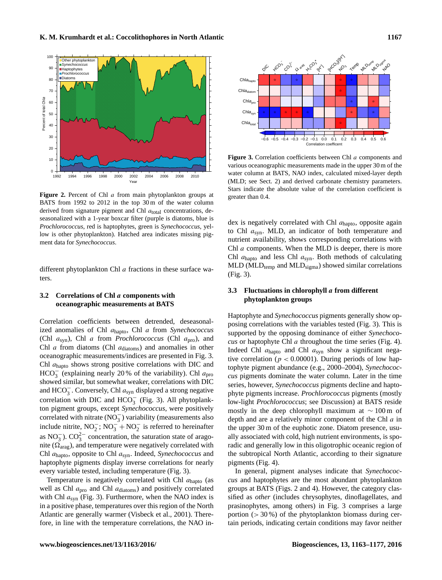

Figure 2. Percent of Chl a from main phytoplankton groups at BATS from 1992 to 2012 in the top 30 m of the water column derived from signature pigment and Chl  $a_{total}$  concentrations, deseasonalized with a 1-year boxcar filter (purple is diatoms, blue is *Prochlorococcus*, red is haptophytes, green is *Synechococcus*, yellow is other phytoplankton). Hatched area indicates missing pigment data for *Synechococcus*.

different phytoplankton Chl a fractions in these surface waters.

## **3.2 Correlations of Chl** a **components with oceanographic measurements at BATS**

Correlation coefficients between detrended, deseasonalized anomalies of Chl ahapto, Chl a from *Synechococcus* (Chl asyn), Chl a from *Prochlorococcus* (Chl apro), and Chl  $a$  from diatoms (Chl  $a_{\text{diatoms}}$ ) and anomalies in other oceanographic measurements/indices are presented in Fig. 3. Chl ahapto shows strong positive correlations with DIC and  $HCO<sub>3</sub><sup>2</sup>$  (explaining nearly 20% of the variability). Chl  $a<sub>pro</sub>$ showed similar, but somewhat weaker, correlations with DIC and  $HCO_3^-$ . Conversely, Chl  $a_{syn}$  displayed a strong negative correlation with DIC and  $HCO_3^-$  (Fig. 3). All phytoplankton pigment groups, except *Synechococcus*, were positively correlated with nitrate  $(NO_3^-)$  variability (measurements also include nitrite,  $NO_2^-$ ;  $NO_3^- + NO_2^-$  is referred to hereinafter as NO<sub>3</sub><sup>-</sup>).  $CO_3^{2-}$  concentration, the saturation state of aragonite ( $\Omega_{\text{arag}}$ ), and temperature were negatively correlated with Chl ahapto, opposite to Chl asyn. Indeed, *Synechococcus* and haptophyte pigments display inverse correlations for nearly every variable tested, including temperature (Fig. 3).

Temperature is negatively correlated with Chl  $a<sub>hanto</sub>$  (as well as Chl  $a_{\text{pro}}$  and Chl  $a_{\text{diatoms}}$  and positively correlated with Chl  $a_{syn}$  (Fig. 3). Furthermore, when the NAO index is in a positive phase, temperatures over this region of the North Atlantic are generally warmer (Visbeck et al., 2001). Therefore, in line with the temperature correlations, the NAO in-



**Figure 3.** Correlation coefficients between Chl a components and various oceanographic measurements made in the upper 30 m of the water column at BATS, NAO index, calculated mixed-layer depth (MLD; see Sect. 2) and derived carbonate chemistry parameters. Stars indicate the absolute value of the correlation coefficient is greater than 0.4.

dex is negatively correlated with Chl  $a<sub>hapto</sub>$ , opposite again to Chl  $a_{syn}$ . MLD, an indicator of both temperature and nutrient availability, shows corresponding correlations with Chl a components. When the MLD is deeper, there is more Chl  $a_{\text{hanto}}$  and less Chl  $a_{\text{syn}}$ . Both methods of calculating  $MLD$  (MLD<sub>temp</sub> and MLD<sub>sigma</sub>) showed similar correlations (Fig. 3).

## **3.3 Fluctuations in chlorophyll** a **from different phytoplankton groups**

Haptophyte and *Synechococcus* pigments generally show opposing correlations with the variables tested (Fig. 3). This is supported by the opposing dominance of either *Synechococus* or haptophyte Chl a throughout the time series (Fig. 4). Indeed Chl  $a<sub>hapto</sub>$  and Chl  $a<sub>syn</sub>$  show a significant negative correlation ( $p < 0.00001$ ). During periods of low haptophyte pigment abundance (e.g., 2000–2004), *Synechococcus* pigments dominate the water column. Later in the time series, however, *Synechococcus* pigments decline and haptophyte pigments increase. *Prochlorococcus* pigments (mostly low-light *Prochlorococcus*; see Discussion) at BATS reside mostly in the deep chlorophyll maximum at ∼ 100 m of depth and are a relatively minor component of the Chl a in the upper 30 m of the euphotic zone. Diatom presence, usually associated with cold, high nutrient environments, is sporadic and generally low in this oligotrophic oceanic region of the subtropical North Atlantic, according to their signature pigments (Fig. 4).

In general, pigment analyses indicate that *Synechococcus* and haptophytes are the most abundant phytoplankton groups at BATS (Figs. 2 and 4). However, the category classified as *other* (includes chrysophytes, dinoflagellates, and prasinophytes, among others) in Fig. 3 comprises a large portion  $(>30\%)$  of the phytoplankton biomass during certain periods, indicating certain conditions may favor neither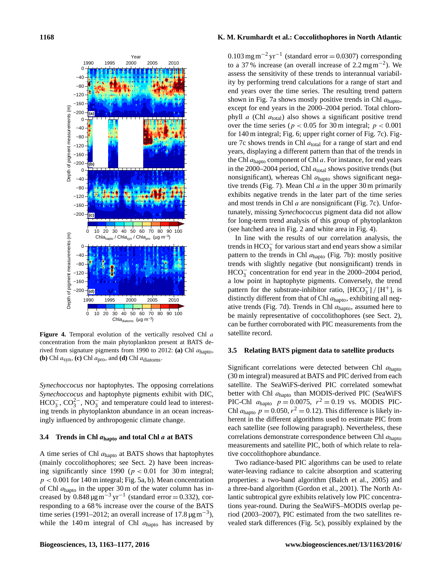

Figure 4. Temporal evolution of the vertically resolved Chl a concentration from the main phytoplankton present at BATS derived from signature pigments from 1990 to 2012: **(a)** Chl ahapto, **(b)** Chl  $a_{syn}$ , **(c)** Chl  $a_{pro}$ , and **(d)** Chl  $a_{diatoms}$ .

*Synechoccocus* nor haptophytes. The opposing correlations *Synechoccocus* and haptophyte pigments exhibit with DIC,  $HCO_3^-$ ,  $CO_3^{2-}$ ,  $NO_3^-$  and temperature could lead to interesting trends in phytoplankton abundance in an ocean increasingly influenced by anthropogenic climate change.

## **3.4 Trends in Chl** a**hapto and total Chl** a **at BATS**

A time series of Chl  $a<sub>hapto</sub>$  at BATS shows that haptophytes (mainly coccolithophores; see Sect. 2) have been increasing significantly since 1990 ( $p < 0.01$  for 30 m integral;  $p < 0.001$  for 140 m integral; Fig. 5a, b). Mean concentration of Chl  $a<sub>hapto</sub>$  in the upper 30 m of the water column has increased by  $0.848 \,\mathrm{\mu g\,m}^{-3}\,\mathrm{yr}^{-1}$  (standard error = 0.332), corresponding to a 68 % increase over the course of the BATS time series (1991–2012; an overall increase of 17.8  $\mu$ g m<sup>-3</sup>), while the 140 m integral of Chl  $a<sub>hapto</sub>$  has increased by

## **1168 K. M. Krumhardt et al.: Coccolithophores in North Atlantic**

 $0.103$  mg m<sup>-2</sup> yr<sup>-1</sup> (standard error = 0.0307) corresponding to a 37% increase (an overall increase of  $2.2 \text{ mg m}^{-2}$ ). We assess the sensitivity of these trends to interannual variability by performing trend calculations for a range of start and end years over the time series. The resulting trend pattern shown in Fig. 7a shows mostly positive trends in Chl  $a<sub>hanto</sub>$ , except for end years in the 2000–2004 period. Total chlorophyll  $a$  (Chl  $a_{total}$ ) also shows a significant positive trend over the time series ( $p < 0.05$  for 30 m integral;  $p < 0.001$ for 140 m integral; Fig. 6; upper right corner of Fig. 7c). Figure 7c shows trends in Chl  $a_{total}$  for a range of start and end years, displaying a different pattern than that of the trends in the Chl  $a<sub>hanto</sub> component of Chl a. For instance, for end years$ in the 2000–2004 period, Chl  $a_{\text{total}}$  shows positive trends (but nonsignificant), whereas Chl  $a<sub>hanto</sub>$  shows significant negative trends (Fig. 7). Mean Chl  $a$  in the upper 30 m primarily exhibits negative trends in the later part of the time series and most trends in Chl  $a$  are nonsignificant (Fig. 7c). Unfortunately, missing *Synechococcus* pigment data did not allow for long-term trend analysis of this group of phytoplankton (see hatched area in Fig. 2 and white area in Fig. 4).

In line with the results of our correlation analysis, the trends in  $HCO<sub>3</sub><sup>-</sup>$  for various start and end years show a similar pattern to the trends in Chl  $a<sub>hanto</sub>$  (Fig. 7b): mostly positive trends with slightly negative (but nonsignificant) trends in HCO<sub>3</sub> concentration for end year in the 2000–2004 period, a low point in haptophyte pigments. Conversely, the trend pattern for the substrate-inhibitor ratio,  $[HCO_3^-]/[H^+]$ , is distinctly different from that of Chl  $a<sub>hapto</sub>$ , exhibiting all negative trends (Fig. 7d). Trends in Chl  $a<sub>hapto</sub>$ , assumed here to be mainly representative of coccolithophores (see Sect. 2), can be further corroborated with PIC measurements from the satellite record.

#### **3.5 Relating BATS pigment data to satellite products**

Significant correlations were detected between Chl a<sub>hapto</sub> (30 m integral) measured at BATS and PIC derived from each satellite. The SeaWiFS-derived PIC correlated somewhat better with Chl ahapto than MODIS-derived PIC (SeaWiFS PIC-Chl  $a_{\text{hapto}}$   $p = 0.0075$ ,  $r^2 = 0.19$  vs. MODIS PIC-Chl  $a_{\text{hapto}} p = 0.050, r^2 = 0.12$ . This difference is likely inherent in the different algorithms used to estimate PIC from each satellite (see following paragraph). Nevertheless, these correlations demonstrate correspondence between Chl a<sub>hapto</sub> measurements and satellite PIC, both of which relate to relative coccolithophore abundance.

Two radiance-based PIC algorithms can be used to relate water-leaving radiance to calcite absorption and scattering properties: a two-band algorithm (Balch et al., 2005) and a three-band algorithm (Gordon et al., 2001). The North Atlantic subtropical gyre exhibits relatively low PIC concentrations year-round. During the SeaWiFS–MODIS overlap period (2003–2007), PIC estimated from the two satellites revealed stark differences (Fig. 5c), possibly explained by the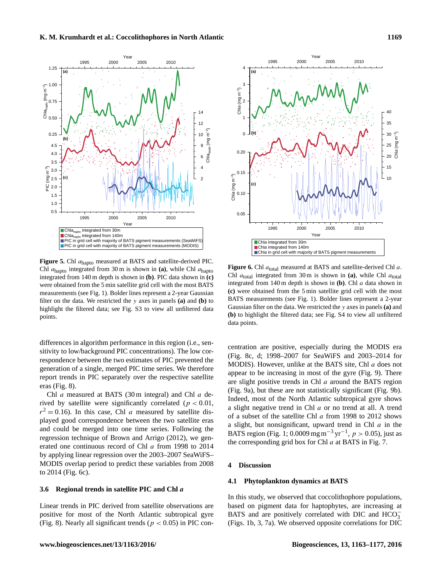

**Figure 5.** Chl ahapto measured at BATS and satellite-derived PIC. Chl ahapto integrated from 30 m is shown in **(a)**, while Chl ahapto integrated from 140 m depth is shown in **(b)**. PIC data shown in **(c)** were obtained from the 5 min satellite grid cell with the most BATS measurements (see Fig. 1). Bolder lines represent a 2-year Gaussian filter on the data. We restricted the y axes in panels **(a)** and **(b)** to highlight the filtered data; see Fig. S3 to view all unfiltered data points.

differences in algorithm performance in this region (i.e., sensitivity to low/background PIC concentrations). The low correspondence between the two estimates of PIC prevented the generation of a single, merged PIC time series. We therefore report trends in PIC separately over the respective satellite eras (Fig. 8).

Chl a measured at BATS (30 m integral) and Chl a derived by satellite were significantly correlated ( $p < 0.01$ ,  $r^2 = 0.16$ ). In this case, Chl *a* measured by satellite displayed good correspondence between the two satellite eras and could be merged into one time series. Following the regression technique of Brown and Arrigo (2012), we generated one continuous record of Chl a from 1998 to 2014 by applying linear regression over the 2003–2007 SeaWiFS– MODIS overlap period to predict these variables from 2008 to 2014 (Fig. 6c).

## **3.6 Regional trends in satellite PIC and Chl** a

Linear trends in PIC derived from satellite observations are positive for most of the North Atlantic subtropical gyre (Fig. 8). Nearly all significant trends ( $p < 0.05$ ) in PIC con-



**Figure 6.** Chl  $a_{\text{total}}$  measured at BATS and satellite-derived Chl a. Chl  $a_{\text{total}}$  integrated from 30 m is shown in (a), while Chl  $a_{\text{total}}$ integrated from 140 m depth is shown in **(b)**. Chl a data shown in **(c)** were obtained from the 5 min satellite grid cell with the most BATS measurements (see Fig. 1). Bolder lines represent a 2-year Gaussian filter on the data. We restricted the y axes in panels **(a)** and **(b)** to highlight the filtered data; see Fig. S4 to view all unfiltered data points.

centration are positive, especially during the MODIS era (Fig. 8c, d; 1998–2007 for SeaWiFS and 2003–2014 for MODIS). However, unlike at the BATS site, Chl a does not appear to be increasing in most of the gyre (Fig. 9). There are slight positive trends in Chl a around the BATS region (Fig. 9a), but these are not statistically significant (Fig. 9b). Indeed, most of the North Atlantic subtropical gyre shows a slight negative trend in Chl a or no trend at all. A trend of a subset of the satellite Chl a from 1998 to 2012 shows a slight, but nonsignificant, upward trend in Chl  $a$  in the BATS region (Fig. 1; 0.0009 mg m<sup>-3</sup> yr<sup>-1</sup>,  $p > 0.05$ ), just as the corresponding grid box for Chl a at BATS in Fig. 7.

#### **4 Discussion**

#### **4.1 Phytoplankton dynamics at BATS**

In this study, we observed that coccolithophore populations, based on pigment data for haptophytes, are increasing at BATS and are positively correlated with DIC and  $\overline{HCO_3^-}$ (Figs. 1b, 3, 7a). We observed opposite correlations for DIC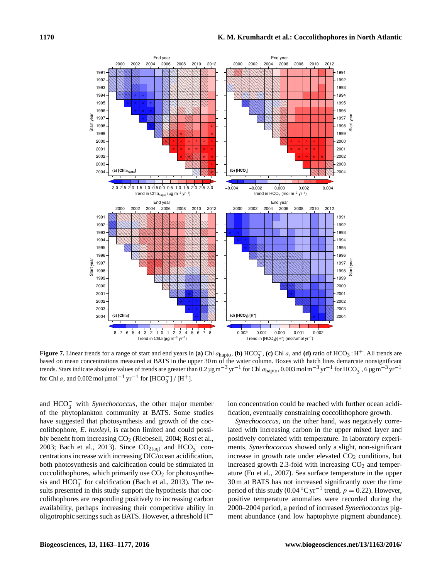

**Figure 7.** Linear trends for a range of start and end years in **(a)** Chl  $a_{\text{hapto}}$ , **(b)** HCO<sub>3</sub><sup></sup>, **(c)** Chl  $a$ , and **(d)** ratio of HCO<sub>3</sub> : H<sup>+</sup>. All trends are based on mean concentrations measured at BATS in the upper 30 m of the water column. Boxes with hatch lines demarcate nonsignificant trends. Stars indicate absolute values of trends are greater than 0.2  $\mu$ g m<sup>-3</sup> yr<sup>-1</sup> for Chl *a*, and 0.002 mol  $\mu$ mol<sup>-1</sup> yr<sup>-1</sup> for [HCO<sub>3</sub>] / [H<sup>+</sup>].

and HCO<sup>−</sup> <sup>3</sup> with *Synechococcus*, the other major member of the phytoplankton community at BATS. Some studies have suggested that photosynthesis and growth of the coccolithophore, *E. huxleyi*, is carbon limited and could possibly benefit from increasing  $CO<sub>2</sub>$  (Riebesell, 2004; Rost et al., 2003; Bach et al., 2013). Since  $CO<sub>2(aq)</sub>$  and  $HCO<sub>3</sub><sup>-</sup>$  concentrations increase with increasing DIC/ocean acidification, both photosynthesis and calcification could be stimulated in coccolithophores, which primarily use  $CO<sub>2</sub>$  for photosynthesis and  $HCO<sub>3</sub><sup>-</sup>$  for calcification (Bach et al., 2013). The results presented in this study support the hypothesis that coccolithophores are responding positively to increasing carbon availability, perhaps increasing their competitive ability in oligotrophic settings such as BATS. However, a threshold  $H^+$ 

ion concentration could be reached with further ocean acidification, eventually constraining coccolithophore growth.

*Synechococcus*, on the other hand, was negatively correlated with increasing carbon in the upper mixed layer and positively correlated with temperature. In laboratory experiments, *Synechococcus* showed only a slight, non-significant increase in growth rate under elevated  $CO<sub>2</sub>$  conditions, but increased growth 2.3-fold with increasing  $CO<sub>2</sub>$  and temperature (Fu et al., 2007). Sea surface temperature in the upper 30 m at BATS has not increased significantly over the time period of this study (0.04 °C yr<sup>-1</sup> trend,  $p = 0.22$ ). However, positive temperature anomalies were recorded during the 2000–2004 period, a period of increased *Synechococcus* pigment abundance (and low haptophyte pigment abundance).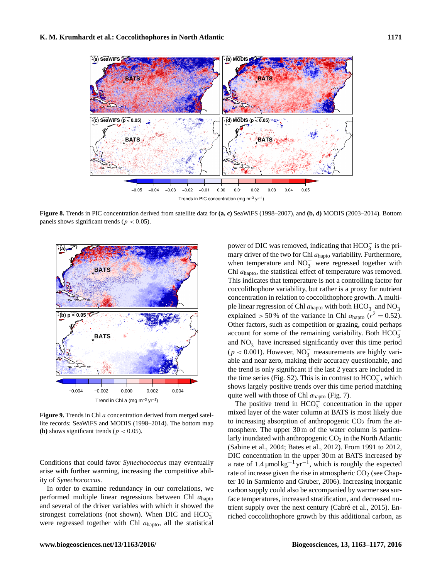

Trends in PIC concentration (mg m−3 yr−1)

**Figure 8.** Trends in PIC concentration derived from satellite data for **(a, c)** SeaWiFS (1998–2007), and **(b, d)** MODIS (2003–2014). Bottom panels shows significant trends ( $p < 0.05$ ).



**Figure 9.** Trends in Chl a concentration derived from merged satellite records: SeaWiFS and MODIS (1998–2014). The bottom map **(b)** shows significant trends ( $p < 0.05$ ).

Conditions that could favor *Synechococcus* may eventually arise with further warming, increasing the competitive ability of *Synechococcus*.

In order to examine redundancy in our correlations, we performed multiple linear regressions between Chl  $a<sub>hanto</sub>$ and several of the driver variables with which it showed the strongest correlations (not shown). When DIC and  $HCO_3^$ were regressed together with Chl  $a<sub>hapto</sub>$ , all the statistical

power of DIC was removed, indicating that  $HCO_3^-$  is the primary driver of the two for Chl  $a<sub>hapto</sub>$  variability. Furthermore, when temperature and  $NO<sub>3</sub><sup>-</sup>$  were regressed together with Chl  $a<sub>hanto</sub>$ , the statistical effect of temperature was removed. This indicates that temperature is not a controlling factor for coccolithophore variability, but rather is a proxy for nutrient concentration in relation to coccolithophore growth. A multiple linear regression of Chl  $a_{\text{hapto}}$  with both  $\text{HCO}_3^-$  and  $\text{NO}_3^$ explained > 50 % of the variance in Chl  $a_{\text{hapto}}$  ( $r^2 = 0.52$ ). Other factors, such as competition or grazing, could perhaps account for some of the remaining variability. Both  $HCO_3^$ and  $NO<sub>3</sub><sup>-</sup>$  have increased significantly over this time period  $(p < 0.001)$ . However, NO<sub>3</sub> measurements are highly variable and near zero, making their accuracy questionable, and the trend is only significant if the last 2 years are included in the time series (Fig. S2). This is in contrast to  $HCO_3^-$ , which shows largely positive trends over this time period matching quite well with those of Chl  $a<sub>hapto</sub>$  (Fig. 7).

The positive trend in  $HCO_3^+$  concentration in the upper mixed layer of the water column at BATS is most likely due to increasing absorption of anthropogenic  $CO<sub>2</sub>$  from the atmosphere. The upper 30 m of the water column is particularly inundated with anthropogenic  $CO<sub>2</sub>$  in the North Atlantic (Sabine et al., 2004; Bates et al., 2012). From 1991 to 2012, DIC concentration in the upper 30 m at BATS increased by a rate of 1.4  $\mu$ mol $\text{kg}^{-1}$  yr<sup>-1</sup>, which is roughly the expected rate of increase given the rise in atmospheric  $CO<sub>2</sub>$  (see Chapter 10 in Sarmiento and Gruber, 2006). Increasing inorganic carbon supply could also be accompanied by warmer sea surface temperatures, increased stratification, and decreased nutrient supply over the next century (Cabré et al., 2015). Enriched coccolithophore growth by this additional carbon, as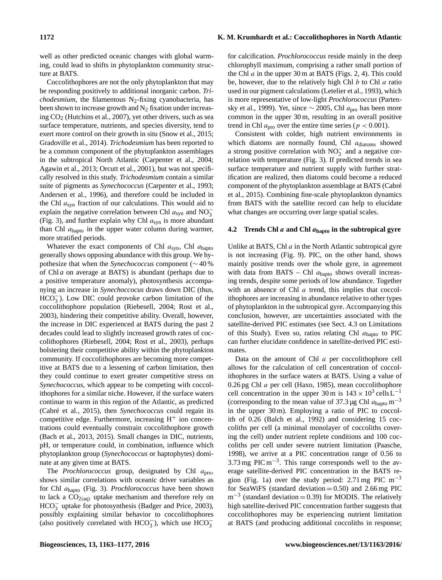well as other predicted oceanic changes with global warming, could lead to shifts in phytoplankton community structure at BATS.

Coccolithophores are not the only phytoplankton that may be responding positively to additional inorganic carbon. *Trichodesmium*, the filamentous N<sub>2</sub>-fixing cyanobacteria, has been shown to increase growth and  $N_2$  fixation under increasing CO<sup>2</sup> (Hutchins et al., 2007), yet other drivers, such as sea surface temperature, nutrients, and species diversity, tend to exert more control on their growth in situ (Snow et al., 2015; Gradoville et al., 2014). *Trichodesmium* has been reported to be a common component of the phytoplankton assemblages in the subtropical North Atlantic (Carpenter et al., 2004; Agawin et al., 2013; Orcutt et al., 2001), but was not specifically resolved in this study. *Trichodesmium* contain a similar suite of pigments as *Synechococcus* (Carpenter et al., 1993; Andersen et al., 1996), and therefore could be included in the Chl  $a<sub>syn</sub>$  fraction of our calculations. This would aid to explain the negative correlation between Chl  $a_{syn}$  and NO<sub>3</sub> (Fig. 3), and further explain why Chl  $a_{syn}$  is more abundant than Chl  $a<sub>hapto</sub>$  in the upper water column during warmer, more stratified periods.

Whatever the exact components of Chl  $a_{syn}$ , Chl  $a_{hapto}$ generally shows opposing abundance with this group. We hypothesize that when the *Synechococcus* component (∼ 40 % of Chl *a* on average at BATS) is abundant (perhaps due to a positive temperature anomaly), photosynthesis accompanying an increase in *Synechoccocus* draws down DIC (thus,  $HCO<sub>3</sub><sup>-</sup>$ ). Low DIC could provoke carbon limitation of the coccolithophore population (Riebesell, 2004; Rost et al., 2003), hindering their competitive ability. Overall, however, the increase in DIC experienced at BATS during the past 2 decades could lead to slightly increased growth rates of coccolithophores (Riebesell, 2004; Rost et al., 2003), perhaps bolstering their competitive ability within the phytoplankton community. If coccolithophores are becoming more competitive at BATS due to a lessening of carbon limitation, then they could continue to exert greater competitive stress on *Synechococcus*, which appear to be competing with coccolithophores for a similar niche. However, if the surface waters continue to warm in this region of the Atlantic, as predicted (Cabré et al., 2015), then *Synechococcus* could regain its competitive edge. Furthermore, increasing  $H^+$  ion concentrations could eventually constrain coccolithophore growth (Bach et al., 2013, 2015). Small changes in DIC, nutrients, pH, or temperature could, in combination, influence which phytoplankton group (*Synechococcus* or haptophytes) dominate at any given time at BATS.

The *Prochlorococcus* group, designated by Chl  $a_{\text{pro}}$ , shows similar correlations with oceanic driver variables as for Chl ahapto (Fig. 3). *Prochlorococcus* have been shown to lack a  $CO<sub>2(aq)</sub>$  uptake mechanism and therefore rely on  $HCO_3^-$  uptake for photosynthesis (Badger and Price, 2003), possibly explaining similar behavior to coccolithophores (also positively correlated with HCO<sub>3</sub><sup>-</sup>), which use  $\text{HCO}_3^-$ 

for calcification. *Prochlorococcus* reside mainly in the deep chlorophyll maximum, comprising a rather small portion of the Chl  $\alpha$  in the upper 30 m at BATS (Figs. 2, 4). This could be, however, due to the relatively high Chl  $b$  to Chl  $a$  ratio used in our pigment calculations (Letelier et al., 1993), which is more representative of low-light *Prochlorococcus* (Partensky et al., 1999). Yet, since  $\sim$  2005, Chl  $a_{\text{pro}}$  has been more common in the upper 30 m, resulting in an overall positive trend in Chl  $a_{\text{pro}}$  over the entire time series ( $p < 0.001$ ).

Consistent with colder, high nutrient environments in which diatoms are normally found, Chl  $a_{\text{diatoms}}$  showed a strong positive correlation with  $NO<sub>3</sub><sup>-</sup>$  and a negative correlation with temperature (Fig. 3). If predicted trends in sea surface temperature and nutrient supply with further stratification are realized, then diatoms could become a reduced component of the phytoplankton assemblage at BATS (Cabré et al., 2015). Combining fine-scale phytoplankton dynamics from BATS with the satellite record can help to elucidate what changes are occurring over large spatial scales.

# **4.2 Trends Chl** a **and Chl** a**hapto in the subtropical gyre**

Unlike at BATS, Chl  $a$  in the North Atlantic subtropical gyre is not increasing (Fig. 9). PIC, on the other hand, shows mainly positive trends over the whole gyre, in agreement with data from BATS – Chl  $a<sub>hanto</sub>$  shows overall increasing trends, despite some periods of low abundance. Together with an absence of Chl *a* trend, this implies that coccolithophores are increasing in abundance relative to other types of phytoplankton in the subtropical gyre. Accompanying this conclusion, however, are uncertainties associated with the satellite-derived PIC estimates (see Sect. 4.3 on Limitations of this Study). Even so, ratios relating Chl  $a<sub>hanto</sub>$  to PIC can further elucidate confidence in satellite-derived PIC estimates.

Data on the amount of Chl a per coccolithophore cell allows for the calculation of cell concentration of coccolithophores in the surface waters at BATS. Using a value of 0.26 pg Chl a per cell (Haxo, 1985), mean coccolithophore cell concentration in the upper 30 m is  $143 \times 10^3$  cells L<sup>-1</sup> (corresponding to the mean value of 37.3 µg Chl  $a_{\text{hanto}}$  m<sup>-3</sup> in the upper 30 m). Employing a ratio of PIC to coccolith of 0.26 (Balch et al., 1992) and considering 15 coccoliths per cell (a minimal monolayer of coccoliths covering the cell) under nutrient replete conditions and 100 coccoliths per cell under severe nutrient limitation (Paasche, 1998), we arrive at a PIC concentration range of 0.56 to 3.73 mg PIC  $m^{-3}$ . This range corresponds well to the average satellite-derived PIC concentration in the BATS region (Fig. 1a) over the study period: 2.71 mg PIC m<sup>-3</sup> for SeaWiFS (standard deviation  $= 0.50$ ) and 2.66 mg PIC  $m^{-3}$  (standard deviation = 0.39) for MODIS. The relatively high satellite-derived PIC concentration further suggests that coccolithophores may be experiencing nutrient limitation at BATS (and producing additional coccoliths in response;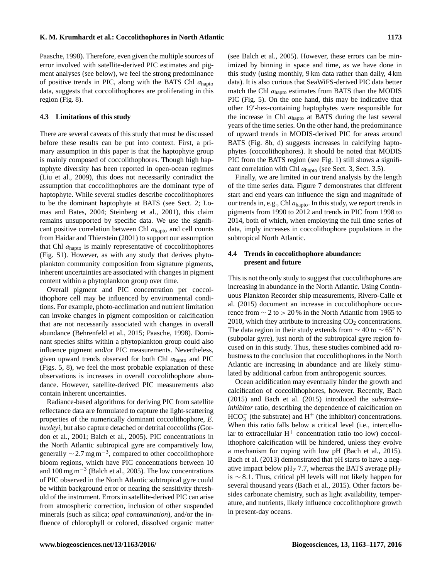Paasche, 1998). Therefore, even given the multiple sources of error involved with satellite-derived PIC estimates and pigment analyses (see below), we feel the strong predominance of positive trends in PIC, along with the BATS Chl  $a<sub>hapto</sub>$ data, suggests that coccolithophores are proliferating in this region (Fig. 8).

## **4.3 Limitations of this study**

There are several caveats of this study that must be discussed before these results can be put into context. First, a primary assumption in this paper is that the haptophyte group is mainly composed of coccolithophores. Though high haptophyte diversity has been reported in open-ocean regimes (Liu et al., 2009), this does not necessarily contradict the assumption that coccolithophores are the dominant type of haptophyte. While several studies describe coccolithophores to be the dominant haptophyte at BATS (see Sect. 2; Lomas and Bates, 2004; Steinberg et al., 2001), this claim remains unsupported by specific data. We use the significant positive correlation between Chl ahapto and cell counts from Haidar and Thierstein (2001) to support our assumption that Chl  $a<sub>hapto</sub>$  is mainly representative of coccolithophores (Fig. S1). However, as with any study that derives phytoplankton community composition from signature pigments, inherent uncertainties are associated with changes in pigment content within a phytoplankton group over time.

Overall pigment and PIC concentration per coccolithophore cell may be influenced by environmental conditions. For example, photo-acclimation and nutrient limitation can invoke changes in pigment composition or calcification that are not necessarily associated with changes in overall abundance (Behrenfeld et al., 2015; Paasche, 1998). Dominant species shifts within a phytoplankton group could also influence pigment and/or PIC measurements. Nevertheless, given upward trends observed for both Chl  $a<sub>hanto</sub>$  and PIC (Figs. 5, 8), we feel the most probable explanation of these observations is increases in overall coccolithophore abundance. However, satellite-derived PIC measurements also contain inherent uncertainties.

Radiance-based algorithms for deriving PIC from satellite reflectance data are formulated to capture the light-scattering properties of the numerically dominant coccolithophore, *E. huxleyi*, but also capture detached or detrital coccoliths (Gordon et al., 2001; Balch et al., 2005). PIC concentrations in the North Atlantic subtropical gyre are comparatively low, generally  $\sim$  2.7 mg m<sup>-3</sup>, compared to other coccolithophore bloom regions, which have PIC concentrations between 10 and 100 mg m−<sup>3</sup> (Balch et al., 2005). The low concentrations of PIC observed in the North Atlantic subtropical gyre could be within background error or nearing the sensitivity threshold of the instrument. Errors in satellite-derived PIC can arise from atmospheric correction, inclusion of other suspended minerals (such as silica; *opal contamination*), and/or the influence of chlorophyll or colored, dissolved organic matter (see Balch et al., 2005). However, these errors can be minimized by binning in space and time, as we have done in this study (using monthly, 9 km data rather than daily, 4 km data). It is also curious that SeaWiFS-derived PIC data better match the Chl  $a<sub>hapto</sub>$  estimates from BATS than the MODIS PIC (Fig. 5). On the one hand, this may be indicative that other 19'-hex-containing haptophytes were responsible for the increase in Chl ahapto at BATS during the last several years of the time series. On the other hand, the predominance of upward trends in MODIS-derived PIC for areas around BATS (Fig. 8b, d) suggests increases in calcifying haptophytes (coccolithophores). It should be noted that MODIS PIC from the BATS region (see Fig. 1) still shows a significant correlation with Chl  $a<sub>hapto</sub>$  (see Sect. 3, Sect. 3.5).

Finally, we are limited in our trend analysis by the length of the time series data. Figure 7 demonstrates that different start and end years can influence the sign and magnitude of our trends in, e.g., Chl  $a<sub>hanto</sub>$ . In this study, we report trends in pigments from 1990 to 2012 and trends in PIC from 1998 to 2014, both of which, when employing the full time series of data, imply increases in coccolithophore populations in the subtropical North Atlantic.

## **4.4 Trends in coccolithophore abundance: present and future**

This is not the only study to suggest that coccolithophores are increasing in abundance in the North Atlantic. Using Continuous Plankton Recorder ship measurements, Rivero-Calle et al. (2015) document an increase in coccolithophore occurrence from  $\sim$  2 to > 20 % in the North Atlantic from 1965 to 2010, which they attribute to increasing  $CO<sub>2</sub>$  concentrations. The data region in their study extends from  $\sim$  40 to  $\sim$  65° N (subpolar gyre), just north of the subtropical gyre region focused on in this study. Thus, these studies combined add robustness to the conclusion that coccolithophores in the North Atlantic are increasing in abundance and are likely stimulated by additional carbon from anthropogenic sources.

Ocean acidification may eventually hinder the growth and calcification of coccolithophores, however. Recently, Bach (2015) and Bach et al. (2015) introduced the *substrate– inhibitor* ratio, describing the dependence of calcification on  $HCO<sub>3</sub><sup>-</sup>$  (the substrate) and  $H<sup>+</sup>$  (the inhibitor) concentrations. When this ratio falls below a critical level (i.e., intercellular to extracellular  $H^+$  concentration ratio too low) coccolithophore calcification will be hindered, unless they evolve a mechanism for coping with low pH (Bach et al., 2015). Bach et al. (2013) demonstrated that pH starts to have a negative impact below pH<sub>T</sub> 7.7, whereas the BATS average pH<sub>T</sub> is ∼ 8.1. Thus, critical pH levels will not likely happen for several thousand years (Bach et al., 2015). Other factors besides carbonate chemistry, such as light availability, temperature, and nutrients, likely influence coccolithophore growth in present-day oceans.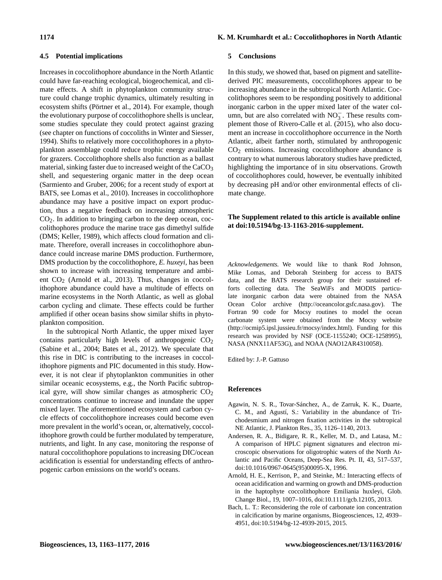#### **4.5 Potential implications**

Increases in coccolithophore abundance in the North Atlantic could have far-reaching ecological, biogeochemical, and climate effects. A shift in phytoplankton community structure could change trophic dynamics, ultimately resulting in ecosystem shifts (Pörtner et al., 2014). For example, though the evolutionary purpose of coccolithophore shells is unclear, some studies speculate they could protect against grazing (see chapter on functions of coccoliths in Winter and Siesser, 1994). Shifts to relatively more coccolithophores in a phytoplankton assemblage could reduce trophic energy available for grazers. Coccolithophore shells also function as a ballast material, sinking faster due to increased weight of the CaCO<sub>3</sub> shell, and sequestering organic matter in the deep ocean (Sarmiento and Gruber, 2006; for a recent study of export at BATS, see Lomas et al., 2010). Increases in coccolithophore abundance may have a positive impact on export production, thus a negative feedback on increasing atmospheric  $CO<sub>2</sub>$ . In addition to bringing carbon to the deep ocean, coccolithophores produce the marine trace gas dimethyl sulfide (DMS; Keller, 1989), which affects cloud formation and climate. Therefore, overall increases in coccolithophore abundance could increase marine DMS production. Furthermore, DMS production by the coccolithophore, *E. huxeyi*, has been shown to increase with increasing temperature and ambient  $CO<sub>2</sub>$  (Arnold et al., 2013). Thus, changes in coccolithophore abundance could have a multitude of effects on marine ecosystems in the North Atlantic, as well as global carbon cycling and climate. These effects could be further amplified if other ocean basins show similar shifts in phytoplankton composition.

In the subtropical North Atlantic, the upper mixed layer contains particularly high levels of anthropogenic  $CO<sub>2</sub>$ (Sabine et al., 2004; Bates et al., 2012). We speculate that this rise in DIC is contributing to the increases in coccolithophore pigments and PIC documented in this study. However, it is not clear if phytoplankton communities in other similar oceanic ecosystems, e.g., the North Pacific subtropical gyre, will show similar changes as atmospheric  $CO<sub>2</sub>$ concentrations continue to increase and inundate the upper mixed layer. The aforementioned ecosystem and carbon cycle effects of coccolithophore increases could become even more prevalent in the world's ocean, or, alternatively, coccolithophore growth could be further modulated by temperature, nutrients, and light. In any case, monitoring the response of natural coccolithophore populations to increasing DIC/ocean acidification is essential for understanding effects of anthropogenic carbon emissions on the world's oceans.

#### **5 Conclusions**

In this study, we showed that, based on pigment and satellitederived PIC measurements, coccolithophores appear to be increasing abundance in the subtropical North Atlantic. Coccolithophores seem to be responding positively to additional inorganic carbon in the upper mixed later of the water column, but are also correlated with  $NO<sub>3</sub><sup>-</sup>$ . These results complement those of Rivero-Calle et al. (2015), who also document an increase in coccolithophore occurrence in the North Atlantic, albeit farther north, stimulated by anthropogenic  $CO<sub>2</sub>$  emissions. Increasing coccolithophore abundance is contrary to what numerous laboratory studies have predicted, highlighting the importance of in situ observations. Growth of coccolithophores could, however, be eventually inhibited by decreasing pH and/or other environmental effects of climate change.

## **The Supplement related to this article is available online at [doi:10.5194/bg-13-1163-2016-supplement.](http://dx.doi.org/10.5194/bg-13-1163-2016-supplement)**

*Acknowledgements.* We would like to thank Rod Johnson, Mike Lomas, and Deborah Steinberg for access to BATS data, and the BATS research group for their sustained efforts collecting data. The SeaWiFs and MODIS particulate inorganic carbon data were obtained from the NASA Ocean Color archive [\(http://oceancolor.gsfc.nasa.gov\)](http://oceancolor.gsfc.nasa.gov). The Fortran 90 code for Mocsy routines to model the ocean carbonate system were obtained from the Mocsy website [\(http://ocmip5.ipsl.jussieu.fr/mocsy/index.html\)](http://ocmip5.ipsl.jussieu.fr/mocsy/index.html). Funding for this research was provided by NSF (OCE-1155240; OCE-1258995), NASA (NNX11AF53G), and NOAA (NAO12AR4310058).

Edited by: J.-P. Gattuso

#### **References**

- Agawin, N. S. R., Tovar-Sánchez, A., de Zarruk, K. K., Duarte, C. M., and Agustí, S.: Variability in the abundance of Trichodesmium and nitrogen fixation activities in the subtropical NE Atlantic, J. Plankton Res., 35, 1126–1140, 2013.
- Andersen, R. A., Bidigare, R. R., Keller, M. D., and Latasa, M.: A comparison of HPLC pigment signatures and electron microscopic observations for oligotrophic waters of the North Atlantic and Pacific Oceans, Deep-Sea Res. Pt. II, 43, 517–537, doi[:10.1016/0967-0645\(95\)00095-X,](http://dx.doi.org/10.1016/0967-0645(95)00095-X) 1996.
- Arnold, H. E., Kerrison, P., and Steinke, M.: Interacting effects of ocean acidification and warming on growth and DMS-production in the haptophyte coccolithophore Emiliania huxleyi, Glob. Change Biol., 19, 1007–1016, doi[:10.1111/gcb.12105,](http://dx.doi.org/10.1111/gcb.12105) 2013.
- Bach, L. T.: Reconsidering the role of carbonate ion concentration in calcification by marine organisms, Biogeosciences, 12, 4939– 4951, doi[:10.5194/bg-12-4939-2015,](http://dx.doi.org/10.5194/bg-12-4939-2015) 2015.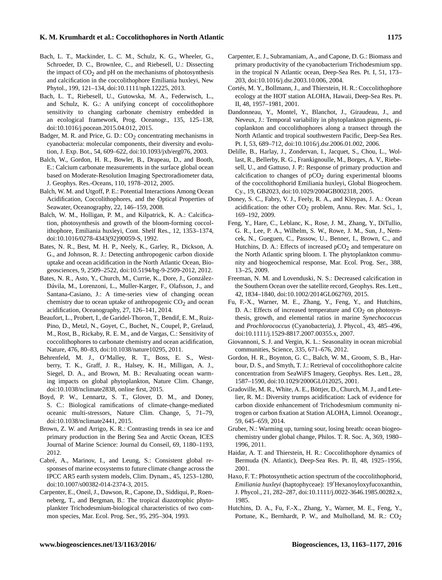#### **K. M. Krumhardt et al.: Coccolithophores in North Atlantic 1175**

- Bach, L. T., Mackinder, L. C. M., Schulz, K. G., Wheeler, G., Schroeder, D. C., Brownlee, C., and Riebesell, U.: Dissecting the impact of  $CO<sub>2</sub>$  and pH on the mechanisms of photosynthesis and calcification in the coccolithophore Emiliania huxleyi, New Phytol., 199, 121–134, doi[:10.1111/nph.12225,](http://dx.doi.org/10.1111/nph.12225) 2013.
- Bach, L. T., Riebesell, U., Gutowska, M. A., Federwisch, L., and Schulz, K. G.: A unifying concept of coccolithophore sensitivity to changing carbonate chemistry embedded in an ecological framework, Prog. Oceanogr., 135, 125–138, doi[:10.1016/j.pocean.2015.04.012,](http://dx.doi.org/10.1016/j.pocean.2015.04.012) 2015.
- Badger, M. R. and Price, G. D.:  $CO<sub>2</sub>$  concentrating mechanisms in cyanobacteria: molecular components, their diversity and evolution, J. Exp. Bot., 54, 609–622, doi[:10.1093/jxb/erg076,](http://dx.doi.org/10.1093/jxb/erg076) 2003.
- Balch, W., Gordon, H. R., Bowler, B., Drapeau, D., and Booth, E.: Calcium carbonate measurements in the surface global ocean based on Moderate-Resolution Imaging Spectroradiometer data, J. Geophys. Res.-Oceans, 110, 1978–2012, 2005.
- Balch, W. M. and Utgoff, P. E.: Potential Interactions Among Ocean Acidification, Coccolithophores, and the Optical Properties of Seawater, Oceanography, 22, 146–159, 2008.
- Balch, W. M., Holligan, P. M., and Kilpatrick, K. A.: Calcification, photosynthesis and growth of the bloom-forming coccolithophore, Emiliania huxleyi, Cont. Shelf Res., 12, 1353–1374, doi[:10.1016/0278-4343\(92\)90059-S,](http://dx.doi.org/10.1016/0278-4343(92)90059-S) 1992.
- Bates, N. R., Best, M. H. P., Neely, K., Garley, R., Dickson, A. G., and Johnson, R. J.: Detecting anthropogenic carbon dioxide uptake and ocean acidification in the North Atlantic Ocean, Biogeosciences, 9, 2509–2522, doi[:10.5194/bg-9-2509-2012,](http://dx.doi.org/10.5194/bg-9-2509-2012) 2012.
- Bates, N. R., Asto, Y., Church, M., Currie, K., Dore, J., González-Dávila, M., Lorenzoni, L., Muller-Karger, F., Olafsson, J., and Santana-Casiano, J.: A time-series view of changing ocean chemistry due to ocean uptake of anthropogenic  $CO<sub>2</sub>$  and ocean acidification, Oceanography, 27, 126–141, 2014.
- Beaufort, L., Probert, I., de Garidel-Thoron, T., Bendif, E. M., Ruiz-Pino, D., Metzl, N., Goyet, C., Buchet, N., Coupel, P., Grelaud, M., Rost, B., Rickaby, R. E. M., and de Vargas, C.: Sensitivity of coccolithophores to carbonate chemistry and ocean acidification, Nature, 476, 80–83, doi[:10.1038/nature10295,](http://dx.doi.org/10.1038/nature10295) 2011.
- Behrenfeld, M. J., O'Malley, R. T., Boss, E. S., Westberry, T. K., Graff, J. R., Halsey, K. H., Milligan, A. J., Siegel, D. A., and Brown, M. B.: Revaluating ocean warming impacts on global phytoplankton, Nature Clim. Change, doi[:10.1038/nclimate2838,](http://dx.doi.org/10.1038/nclimate2838) online first, 2015.
- Boyd, P. W., Lennartz, S. T., Glover, D. M., and Doney, S. C.: Biological ramifications of climate-change-mediated oceanic multi-stressors, Nature Clim. Change, 5, 71–79, doi[:10.1038/nclimate2441,](http://dx.doi.org/10.1038/nclimate2441) 2015.
- Brown, Z. W. and Arrigo, K. R.: Contrasting trends in sea ice and primary production in the Bering Sea and Arctic Ocean, ICES Journal of Marine Science: Journal du Conseil, 69, 1180–1193, 2012.
- Cabré, A., Marinov, I., and Leung, S.: Consistent global responses of marine ecosystems to future climate change across the IPCC AR5 earth system models, Clim. Dynam., 45, 1253–1280, doi[:10.1007/s00382-014-2374-3,](http://dx.doi.org/10.1007/s00382-014-2374-3) 2015.
- Carpenter, E., Oneil, J., Dawson, R., Capone, D., Siddiqui, P., Roenneberg, T., and Bergman, B.: The tropical diazotrophic phytoplankter Trichodesmium-biological characteristics of two common species, Mar. Ecol. Prog. Ser., 95, 295–304, 1993.
- Carpenter, E. J., Subramaniam, A., and Capone, D. G.: Biomass and primary productivity of the cyanobacterium Trichodesmium spp. in the tropical N Atlantic ocean, Deep-Sea Res. Pt. I, 51, 173– 203, doi[:10.1016/j.dsr.2003.10.006,](http://dx.doi.org/10.1016/j.dsr.2003.10.006) 2004.
- Cortés, M. Y., Bollmann, J., and Thierstein, H. R.: Coccolithophore ecology at the HOT station ALOHA, Hawaii, Deep-Sea Res. Pt. II, 48, 1957–1981, 2001.
- Dandonneau, Y., Montel, Y., Blanchot, J., Giraudeau, J., and Neveux, J.: Temporal variability in phytoplankton pigments, picoplankton and coccolithophores along a transect through the North Atlantic and tropical southwestern Pacific, Deep-Sea Res. Pt. I, 53, 689–712, doi[:10.1016/j.dsr.2006.01.002,](http://dx.doi.org/10.1016/j.dsr.2006.01.002) 2006.
- Delille, B., Harlay, J., Zondervan, I., Jacquet, S., Chou, L., Wollast, R., Bellerby, R. G., Frankignoulle, M., Borges, A. V., Riebesell, U., and Gattuso, J. P.: Response of primary production and calcification to changes of  $pCO<sub>2</sub>$  during experimental blooms of the coccolithophorid Emiliania huxleyi, Global Biogeochem. Cy., 19, GB2023, doi[:10.1029/2004GB002318,](http://dx.doi.org/10.1029/2004GB002318) 2005.
- Doney, S. C., Fabry, V. J., Feely, R. A., and Kleypas, J. A.: Ocean acidification: the other  $CO<sub>2</sub>$  problem, Annu. Rev. Mar. Sci., 1, 169–192, 2009.
- Feng, Y., Hare, C., Leblanc, K., Rose, J. M., Zhang, Y., DiTullio, G. R., Lee, P. A., Wilhelm, S. W., Rowe, J. M., Sun, J., Nemcek, N., Gueguen, C., Passow, U., Benner, I., Brown, C., and Hutchins, D. A.: Effects of increased  $pCO<sub>2</sub>$  and temperature on the North Atlantic spring bloom. I. The phytoplankton community and biogeochemical response, Mar. Ecol. Prog. Ser., 388, 13–25, 2009.
- Freeman, N. M. and Lovenduski, N. S.: Decreased calcification in the Southern Ocean over the satellite record, Geophys. Res. Lett., 42, 1834–1840, doi[:10.1002/2014GL062769,](http://dx.doi.org/10.1002/2014GL062769) 2015.
- Fu, F.-X., Warner, M. E., Zhang, Y., Feng, Y., and Hutchins, D. A.: Effects of increased temperature and  $CO<sub>2</sub>$  on photosynthesis, growth, and elemental ratios in marine *Synechococcus* and *Prochlorococcus* (Cyanobacteria), J. Phycol., 43, 485–496, doi[:10.1111/j.1529-8817.2007.00355.x,](http://dx.doi.org/10.1111/j.1529-8817.2007.00355.x) 2007.
- Giovannoni, S. J. and Vergin, K. L.: Seasonality in ocean microbial communities, Science, 335, 671–676, 2012.
- Gordon, H. R., Boynton, G. C., Balch, W. M., Groom, S. B., Harbour, D. S., and Smyth, T. J.: Retrieval of coccolithophore calcite concentration from SeaWiFS Imagery, Geophys. Res. Lett., 28, 1587–1590, doi[:10.1029/2000GL012025,](http://dx.doi.org/10.1029/2000GL012025) 2001.
- Gradoville, M. R., White, A. E., Böttjer, D., Church, M. J., and Letelier, R. M.: Diversity trumps acidification: Lack of evidence for carbon dioxide enhancement of Trichodesmium community nitrogen or carbon fixation at Station ALOHA, Limnol. Oceanogr., 59, 645–659, 2014.
- Gruber, N.: Warming up, turning sour, losing breath: ocean biogeochemistry under global change, Philos. T. R. Soc. A, 369, 1980– 1996, 2011.
- Haidar, A. T. and Thierstein, H. R.: Coccolithophore dynamics of Bermuda (N. Atlantic), Deep-Sea Res. Pt. II, 48, 1925–1956, 2001.
- Haxo, F. T.: Photosynthetic action spectrum of the coccolithophorid, *Emiliania huxleyi* (haptophyceae): 19'Hexanoyloxyfucoxanthin, J. Phycol., 21, 282–287, doi[:10.1111/j.0022-3646.1985.00282.x,](http://dx.doi.org/10.1111/j.0022-3646.1985.00282.x) 1985.
- Hutchins, D. A., Fu, F.-X., Zhang, Y., Warner, M. E., Feng, Y., Portune, K., Bernhardt, P. W., and Mulholland, M. R.:  $CO<sub>2</sub>$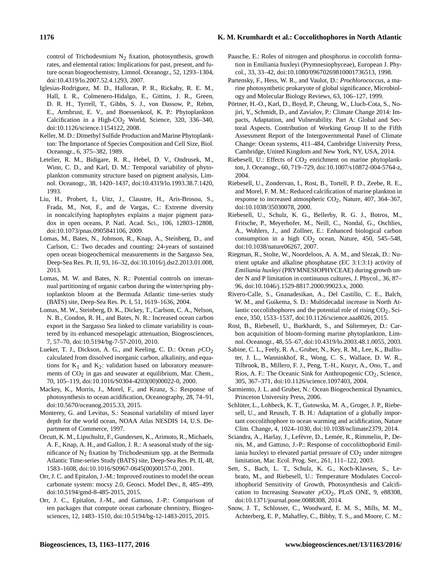#### **1176 K. M. Krumhardt et al.: Coccolithophores in North Atlantic**

control of Trichodesmium  $N_2$  fixation, photosynthesis, growth rates, and elemental ratios: Implications for past, present, and future ocean biogeochemistry, Limnol. Oceanogr., 52, 1293–1304, doi[:10.4319/lo.2007.52.4.1293,](http://dx.doi.org/10.4319/lo.2007.52.4.1293) 2007.

- Iglesias-Rodriguez, M. D., Halloran, P. R., Rickaby, R. E. M., Hall, I. R., Colmenero-Hidalgo, E., Gittins, J. R., Green, D. R. H., Tyrrell, T., Gibbs, S. J., von Dassow, P., Rehm, E., Armbrust, E. V., and Boessenkool, K. P.: Phytoplankton Calcification in a High-CO<sub>2</sub> World, Science, 320, 336-340, doi[:10.1126/science.1154122,](http://dx.doi.org/10.1126/science.1154122) 2008.
- Keller, M. D.: Dimethyl Sulfide Production and Marine Phytoplankton: The Importance of Species Composition and Cell Size, Biol. Oceanogr., 6, 375–382, 1989.
- Letelier, R. M., Bidigare, R. R., Hebel, D. V., Ondrusek, M., Winn, C. D., and Karl, D. M.: Temporal variability of phytoplankton community structure based on pigment analysis, Limnol. Oceanogr., 38, 1420–1437, doi[:10.4319/lo.1993.38.7.1420,](http://dx.doi.org/10.4319/lo.1993.38.7.1420) 1993.
- Liu, H., Probert, I., Uitz, J., Claustre, H., Aris-Brosou, S., Frada, M., Not, F., and de Vargas, C.: Extreme diversity in noncalcifying haptophytes explains a major pigment paradox in open oceans, P. Natl. Acad. Sci., 106, 12803–12808, doi[:10.1073/pnas.0905841106,](http://dx.doi.org/10.1073/pnas.0905841106) 2009.
- Lomas, M., Bates, N., Johnson, R., Knap, A., Steinberg, D., and Carlson, C.: Two decades and counting: 24-years of sustained open ocean biogeochemical measurements in the Sargasso Sea, Deep-Sea Res. Pt. II, 93, 16–32, doi[:10.1016/j.dsr2.2013.01.008,](http://dx.doi.org/10.1016/j.dsr2.2013.01.008) 2013.
- Lomas, M. W. and Bates, N. R.: Potential controls on interannual partitioning of organic carbon during the winter/spring phytoplankton bloom at the Bermuda Atlantic time-series study (BATS) site, Deep-Sea Res. Pt. I, 51, 1619–1636, 2004.
- Lomas, M. W., Steinberg, D. K., Dickey, T., Carlson, C. A., Nelson, N. B., Condon, R. H., and Bates, N. R.: Increased ocean carbon export in the Sargasso Sea linked to climate variability is countered by its enhanced mesopelagic attenuation, Biogeosciences, 7, 57–70, doi[:10.5194/bg-7-57-2010,](http://dx.doi.org/10.5194/bg-7-57-2010) 2010.
- Lueker, T. J., Dickson, A. G., and Keeling, C. D.: Ocean  $pCO<sub>2</sub>$ calculated from dissolved inorganic carbon, alkalinity, and equations for  $K_1$  and  $K_2$ : validation based on laboratory measurements of  $CO<sub>2</sub>$  in gas and seawater at equilibrium, Mar. Chem., 70, 105–119, doi[:10.1016/S0304-4203\(00\)00022-0,](http://dx.doi.org/10.1016/S0304-4203(00)00022-0) 2000.
- Mackey, K., Morris, J., Morel, F., and Kranz, S.: Response of photosynthesis to ocean acidification, Oceanography, 28, 74–91, doi[:10.5670/oceanog.2015.33,](http://dx.doi.org/10.5670/oceanog.2015.33) 2015.
- Monterey, G. and Levitus, S.: Seasonal variability of mixed layer depth for the world ocean, NOAA Atlas NESDIS 14, U.S. Department of Commerce, 1997.
- Orcutt, K. M., Lipschultz, F., Gundersen, K., Arimoto, R., Michaels, A. F., Knap, A. H., and Gallon, J. R.: A seasonal study of the significance of  $N_2$  fixation by Trichodesmium spp. at the Bermuda Atlantic Time-series Study (BATS) site, Deep-Sea Res. Pt. II, 48, 1583–1608, doi[:10.1016/S0967-0645\(00\)00157-0,](http://dx.doi.org/10.1016/S0967-0645(00)00157-0) 2001.
- Orr, J. C. and Epitalon, J.-M.: Improved routines to model the ocean carbonate system: mocsy 2.0, Geosci. Model Dev., 8, 485–499, doi[:10.5194/gmd-8-485-2015,](http://dx.doi.org/10.5194/gmd-8-485-2015) 2015.
- Orr, J. C., Epitalon, J.-M., and Gattuso, J.-P.: Comparison of ten packages that compute ocean carbonate chemistry, Biogeosciences, 12, 1483–1510, doi[:10.5194/bg-12-1483-2015,](http://dx.doi.org/10.5194/bg-12-1483-2015) 2015.
- Paasche, E.: Roles of nitrogen and phosphorus in coccolith formation in Emiliania huxleyi (Prymnesiophyceae), European J. Phycol., 33, 33–42, doi[:10.1080/09670269810001736513,](http://dx.doi.org/10.1080/09670269810001736513) 1998.
- Partensky, F., Hess, W. R., and Vaulot, D.: *Prochlorococcus*, a marine photosynthetic prokaryote of global significance, Microbiology and Molecular Biology Reviews, 63, 106–127, 1999.
- Pörtner, H.-O., Karl, D., Boyd, P., Cheung, W., Lluch-Cota, S., Nojiri, Y., Schmidt, D., and Zavialov, P.: Climate Change 2014: Impacts, Adaptation, and Vulnerability. Part A: Global and Sectoral Aspects. Contribution of Working Group II to the Fifth Assessment Report of the Intergovernmental Panel of Climate Change: Ocean systems, 411–484, Cambridge University Press, Cambridge, United Kingdom and New York, NY, USA, 2014.
- Riebesell, U.: Effects of  $CO<sub>2</sub>$  enrichment on marine phytoplankton, J. Oceanogr., 60, 719–729, doi[:10.1007/s10872-004-5764-z,](http://dx.doi.org/10.1007/s10872-004-5764-z) 2004.
- Riebesell, U., Zondervan, I., Rost, B., Tortell, P. D., Zeebe, R. E., and Morel, F. M. M.: Reduced calcification of marine plankton in response to increased atmospheric  $CO<sub>2</sub>$ , Nature, 407, 364–367, doi[:10.1038/35030078,](http://dx.doi.org/10.1038/35030078) 2000.
- Riebesell, U., Schulz, K. G., Bellerby, R. G. J., Botros, M., Fritsche, P., Meyerhofer, M., Neill, C., Nondal, G., Oschlies, A., Wohlers, J., and Zollner, E.: Enhanced biological carbon consumption in a high  $CO<sub>2</sub>$  ocean, Nature, 450, 545–548, doi[:10.1038/nature06267,](http://dx.doi.org/10.1038/nature06267) 2007.
- Riegman, R., Stolte, W., Noordeloos, A. A. M., and Slezak, D.: Nutrient uptake and alkaline phosphatase (EC 3:1:3:1) activity of *Emiliania huxleyi* (PRYMNESIOPHYCEAE) during growth under N and P limitation in continuous cultures, J. Phycol., 36, 87– 96, doi[:10.1046/j.1529-8817.2000.99023.x,](http://dx.doi.org/10.1046/j.1529-8817.2000.99023.x) 2000.
- Rivero-Calle, S., Gnanadesikan, A., Del Castillo, C. E., Balch, W. M., and Guikema, S. D.: Multidecadal increase in North Atlantic coccolithophores and the potential role of rising  $CO<sub>2</sub>$ , Science, 350, 1533–1537, doi[:10.1126/science.aaa8026,](http://dx.doi.org/10.1126/science.aaa8026) 2015.
- Rost, B., Riebesell, U., Burkhardt, S., and Sültemeyer, D.: Carbon acquisition of bloom-forming marine phytoplankton, Limnol. Oceanogr., 48, 55–67, doi[:10.4319/lo.2003.48.1.0055,](http://dx.doi.org/10.4319/lo.2003.48.1.0055) 2003.
- Sabine, C. L., Feely, R. A., Gruber, N., Key, R. M., Lee, K., Bullister, J. L., Wanninkhof, R., Wong, C. S., Wallace, D. W. R., Tilbrook, B., Millero, F. J., Peng, T.-H., Kozyr, A., Ono, T., and Rios, A. F.: The Oceanic Sink for Anthropogenic  $CO<sub>2</sub>$ , Science, 305, 367–371, doi[:10.1126/science.1097403,](http://dx.doi.org/10.1126/science.1097403) 2004.
- Sarmiento, J. L. and Gruber, N.: Ocean Biogeochemical Dynamics, Princeton University Press, 2006.
- Schlüter, L., Lohbeck, K. T., Gutowska, M. A., Groger, J. P., Riebesell, U., and Reusch, T. B. H.: Adaptation of a globally important coccolithophore to ocean warming and acidification, Nature Clim. Change, 4, 1024–1030, doi[:10.1038/nclimate2379,](http://dx.doi.org/10.1038/nclimate2379) 2014.
- Sciandra, A., Harlay, J., Lefèvre, D., Lemée, R., Rimmelin, P., Denis, M., and Gattuso, J.-P.: Response of coccolithophorid Emiliania huxleyi to elevated partial pressure of  $CO<sub>2</sub>$  under nitrogen limitation, Mar. Ecol. Prog. Ser., 261, 111–122, 2003.
- Sett, S., Bach, L. T., Schulz, K. G., Koch-Klavsen, S., Lebrato, M., and Riebesell, U.: Temperature Modulates Coccolithophorid Sensitivity of Growth, Photosynthesis and Calcification to Increasing Seawater  $pCO<sub>2</sub>$ , PLoS ONE, 9, e88308, doi[:10.1371/journal.pone.0088308,](http://dx.doi.org/10.1371/journal.pone.0088308) 2014.
- Snow, J. T., Schlosser, C., Woodward, E. M. S., Mills, M. M., Achterberg, E. P., Mahaffey, C., Bibby, T. S., and Moore, C. M.: